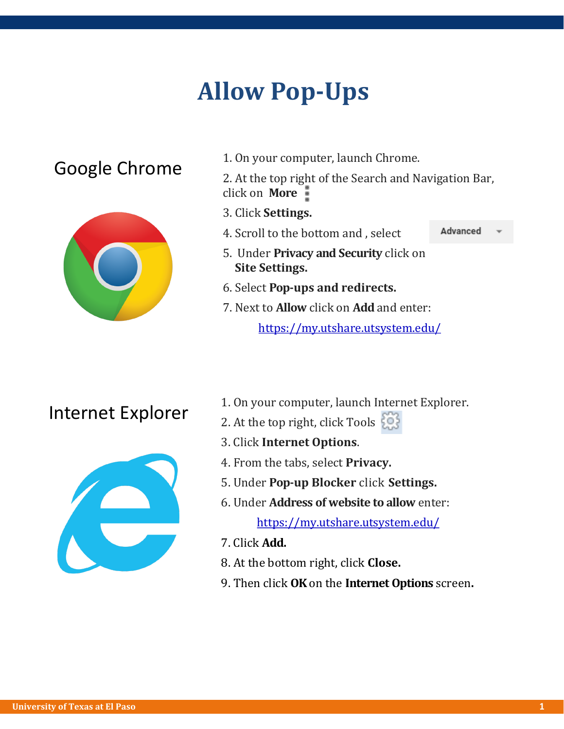# **Allow Pop-Ups**



Google Chrome<br>
<sup>1. On your computer, launch Chrome.</sup><br>
<sup>2</sup> At the top wight of the Search and Nu

2. At the top right of the Search and Navigation Bar, click on **More** 

- 3. Click **Settings.**
- Advanced 4. Scroll to the bottom and , select

- 5. Under **Privacy and Security** click on **Site Settings.**
- 6. Select **Pop-ups and redirects.**
- 7. Next to **Allow** click on **Add** and enter:

https://my.utshare.utsystem.edu/



- I. On your computer, launch Internet Explorer.<br>2. At the ten wight, eligi Teels Fize
	- 2. At the top right, click Tools  $\mathbb{R}^3$
	- 3. Click **Internet Options**.
	- 4. From the tabs, select **Privacy.**
	- 5. Under **Pop-up Blocker** click **Settings.**
	- 6. Under **Address of website to allow** enter:

https://my.utshare.utsystem.edu/

- 7. Click **Add.**
- 8. At the bottom right, click **Close.**
- 9. Then click **OK** on the **Internet Options** screen**.**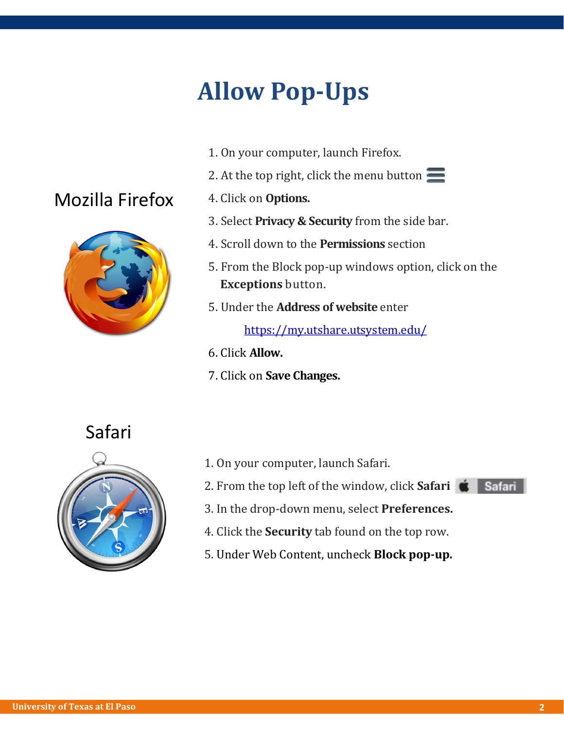## **Allow Pop-Ups**

- 1. On your computer, launch Firefox.
- 2. At the top right, click the menu button  $\equiv$
- 4. Click on **Options.**
- 3. Select **Privacy & Security** from the side bar.
- 4. Scroll down to the **Permissions** section
- 5. From the Block pop-up windows option, click on the **Exceptions** button.
- 5. Under the **Address of website** enter

https://my.utshare.utsystem.edu/

- 6. Click **Allow.**
- 7. Click on **Save Changes.**

#### Safari

Mozilla Firefox



- 1. On your computer, launch Safari.
- 2. From the top left of the window, click **Safari**
- 3. In the drop-down menu, select **Preferences.**
- 4. Click the **Security** tab found on the top row.
- 5. Under Web Content, uncheck **Block pop-up.**